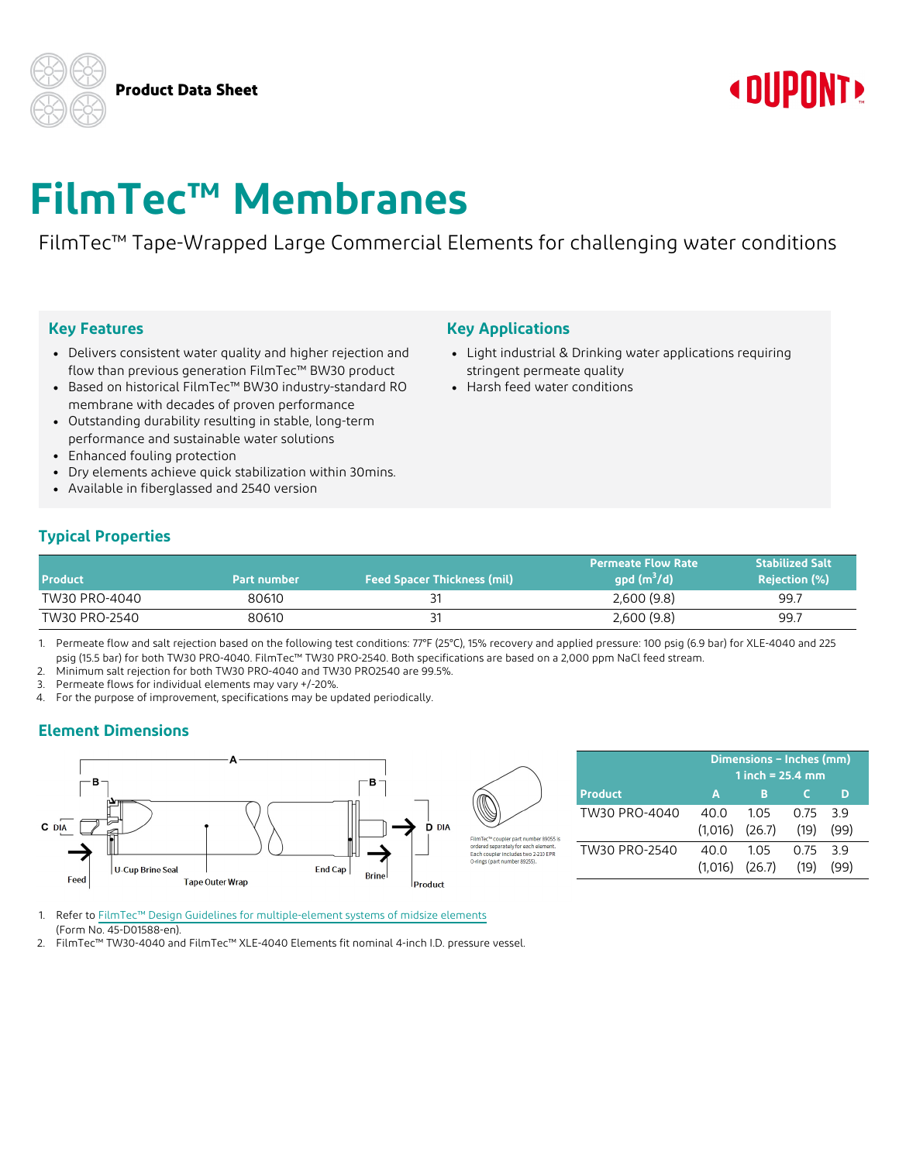**Product Data Sheet**

## **« DUPONT!**

# **FilmTec™ Membranes**

FilmTec™ Tape-Wrapped Large Commercial Elements for challenging water conditions

### **Key Features**

- Delivers consistent water quality and higher rejection and flow than previous generation FilmTec™ BW30 product
- Based on historical FilmTec™ BW30 industry-standard RO membrane with decades of proven performance
- Outstanding durability resulting in stable, long-term performance and sustainable water solutions
- Enhanced fouling protection
- Dry elements achieve quick stabilization within 30mins.
- Available in fiberglassed and 2540 version

#### **Key Applications**

FilmTec™ coupler part number 89055 is rdered separately for each eler

- Light industrial & Drinking water applications requiring stringent permeate quality
- <sup>l</sup> Harsh feed water conditions

## **Typical Properties**

| <b>Product</b> | Part number | <b>Feed Spacer Thickness (mil)</b> | <b>Permeate Flow Rate</b><br>$qpd(m^3/d)$ | <b>Stabilized Salt</b><br><b>Rejection (%)</b> |
|----------------|-------------|------------------------------------|-------------------------------------------|------------------------------------------------|
| TW30 PRO-4040  | 80610       |                                    | 2,600(9.8)                                | 99.7                                           |
| TW30 PRO-2540  | 80610       |                                    | 2,600(9.8)                                | 99.7                                           |

1. Permeate flow and salt rejection based on the following test conditions: 77°F (25°C), 15% recovery and applied pressure: 100 psig (6.9 bar) for XLE-4040 and 225 psig (15.5 bar) for both TW30 PRO-4040. FilmTec™ TW30 PRO-2540. Both specifications are based on a 2,000 ppm NaCl feed stream.

2. Minimum salt rejection for both TW30 PRO-4040 and TW30 PRO2540 are 99.5%.

3. Permeate flows for individual elements may vary +/-20%.

4. For the purpose of improvement, specifications may be updated periodically.

## **Element Dimensions**



|                | Dimensions - Inches (mm) |     |          |      |
|----------------|--------------------------|-----|----------|------|
|                | 1 inch = $25.4$ mm       |     |          |      |
| <b>Product</b> | A                        | в   |          |      |
| TW30 PRO-4040  | 40 Q                     | 105 | 0.75 3.9 |      |
|                | $(1.016)$ $(26.7)$       |     | (19)     | (99) |
| TW30 PRO-2540  | 40 O                     | 105 | O 75     | 39   |
|                | $(1.016)$ $(26.7)$       |     | (19)     |      |

- 1. Refer to FilmTec™ Design Guidelines for [multiple-element](https://www.dupont.com/content/dam/dupont/amer/us/en/water-solutions/public/documents/en/RO-NF-FilmTec-Membrane-Sys-Design-Guidelines-Midsize-Manual-Exc-45-D01588-en.pdf) systems of midsize elements (Form No. 45-D01588-en).
- 2. FilmTec™ TW30-4040 and FilmTec™ XLE-4040 Elements fit nominal 4-inch I.D. pressure vessel.